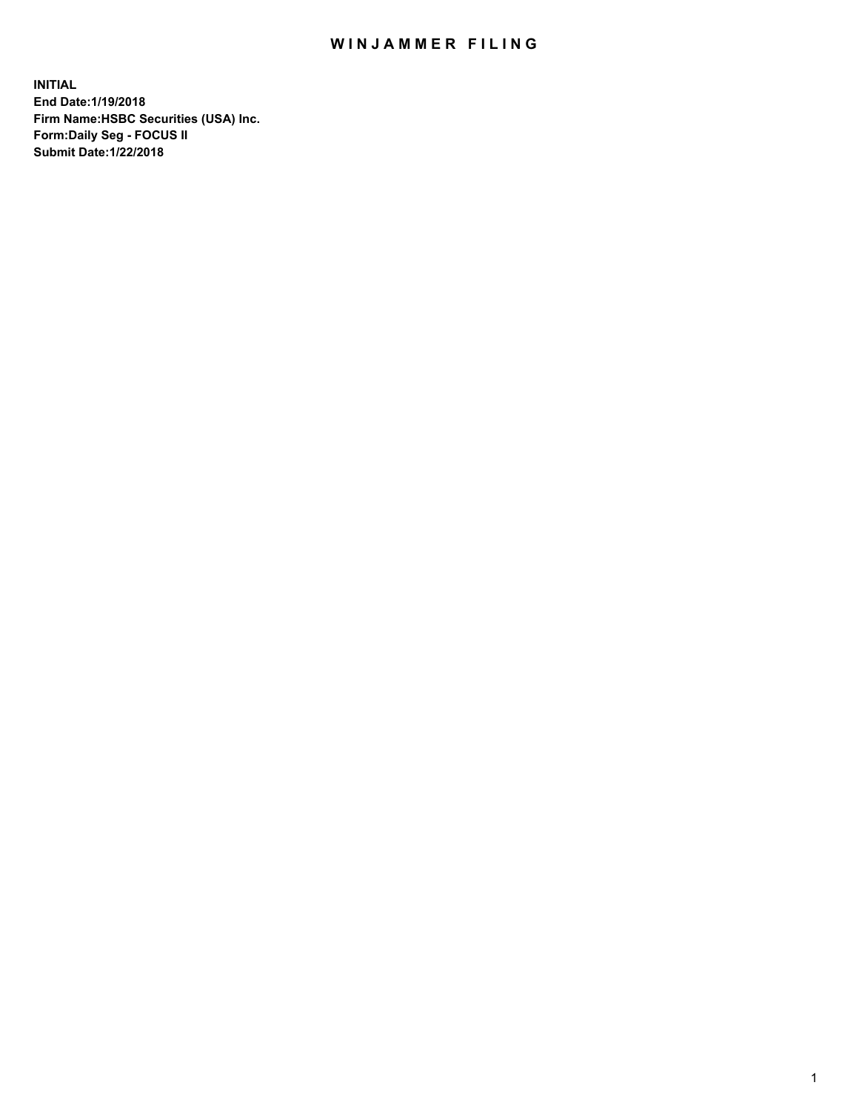## WIN JAMMER FILING

**INITIAL End Date:1/19/2018 Firm Name:HSBC Securities (USA) Inc. Form:Daily Seg - FOCUS II Submit Date:1/22/2018**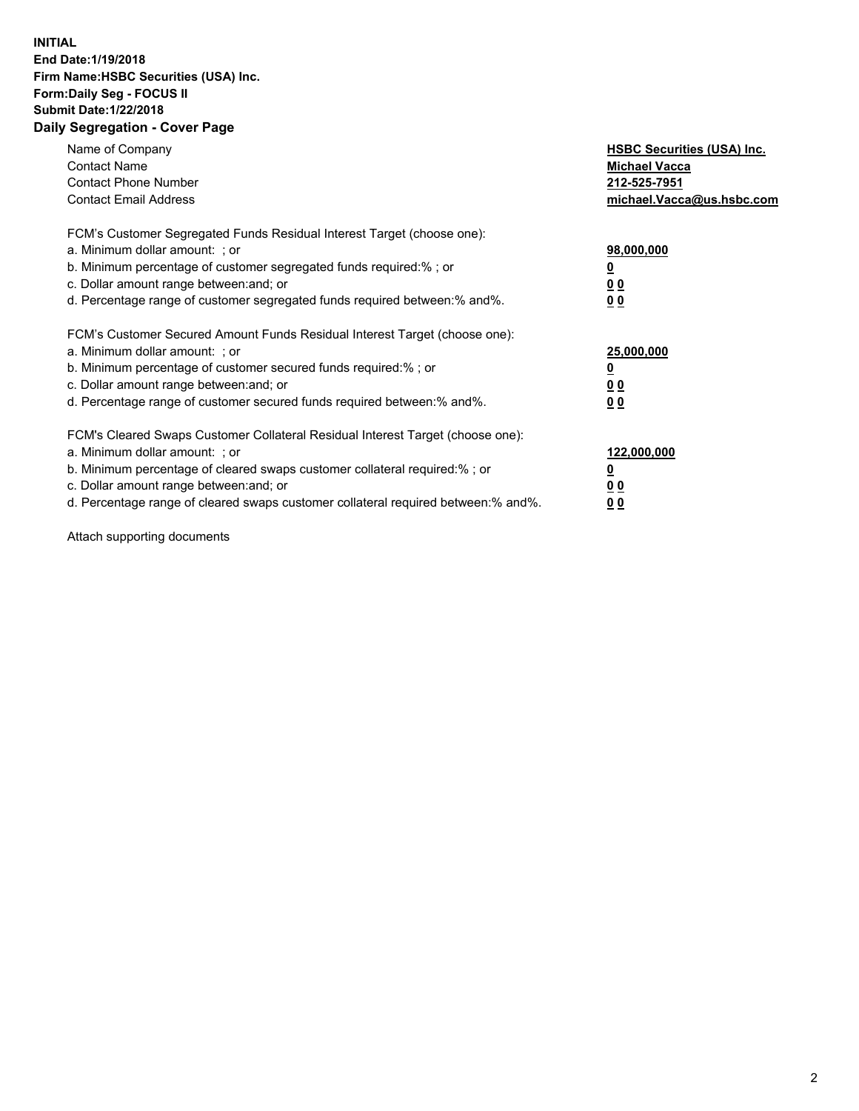## **INITIAL End Date:1/19/2018 Firm Name:HSBC Securities (USA) Inc. Form:Daily Seg - FOCUS II Submit Date:1/22/2018 Daily Segregation - Cover Page**

| Name of Company<br><b>Contact Name</b><br><b>Contact Phone Number</b><br><b>Contact Email Address</b>                                                                                                                                                                                                                         | <b>HSBC Securities (USA) Inc.</b><br><b>Michael Vacca</b><br>212-525-7951<br>michael.Vacca@us.hsbc.com |
|-------------------------------------------------------------------------------------------------------------------------------------------------------------------------------------------------------------------------------------------------------------------------------------------------------------------------------|--------------------------------------------------------------------------------------------------------|
| FCM's Customer Segregated Funds Residual Interest Target (choose one):<br>a. Minimum dollar amount: ; or<br>b. Minimum percentage of customer segregated funds required:%; or<br>c. Dollar amount range between: and; or<br>d. Percentage range of customer segregated funds required between:% and%.                         | 98,000,000<br><u>0</u><br>0 <sub>0</sub><br>0 <sub>0</sub>                                             |
| FCM's Customer Secured Amount Funds Residual Interest Target (choose one):<br>a. Minimum dollar amount: ; or<br>b. Minimum percentage of customer secured funds required:%; or<br>c. Dollar amount range between: and; or<br>d. Percentage range of customer secured funds required between: % and %.                         | 25,000,000<br><u>0</u><br><u>00</u><br>0 <sub>0</sub>                                                  |
| FCM's Cleared Swaps Customer Collateral Residual Interest Target (choose one):<br>a. Minimum dollar amount: ; or<br>b. Minimum percentage of cleared swaps customer collateral required:%; or<br>c. Dollar amount range between: and; or<br>d. Percentage range of cleared swaps customer collateral required between:% and%. | 122,000,000<br>₫<br>00<br><u>00</u>                                                                    |

Attach supporting documents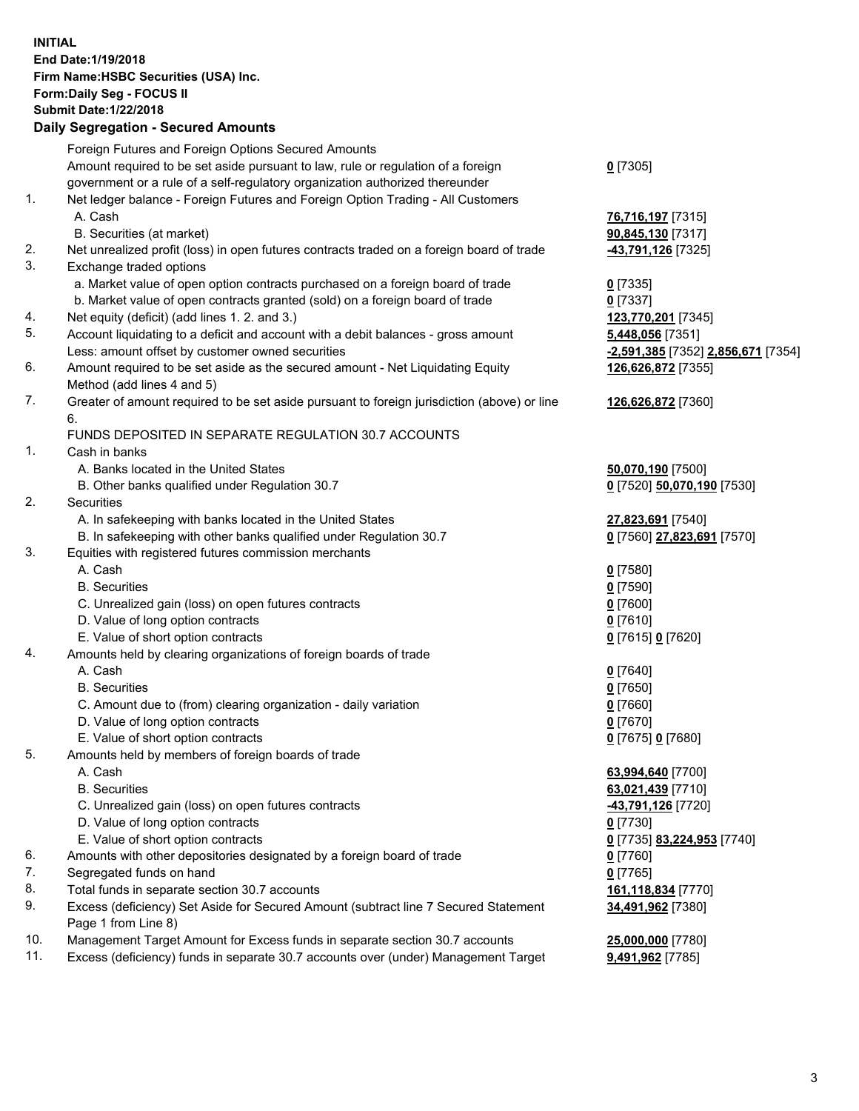**INITIAL End Date:1/19/2018 Firm Name:HSBC Securities (USA) Inc. Form:Daily Seg - FOCUS II Submit Date:1/22/2018 Daily Segregation - Secured Amounts** Foreign Futures and Foreign Options Secured Amounts Amount required to be set aside pursuant to law, rule or regulation of a foreign government or a rule of a self-regulatory organization authorized thereunder 1. Net ledger balance - Foreign Futures and Foreign Option Trading - All Customers A. Cash **76,716,197** [7315] B. Securities (at market) **90,845,130** [7317] 2. Net unrealized profit (loss) in open futures contracts traded on a foreign board of trade **-43,791,126** [7325] 3. Exchange traded options a. Market value of open option contracts purchased on a foreign board of trade **0** [7335] b. Market value of open contracts granted (sold) on a foreign board of trade **0** [7337] 4. Net equity (deficit) (add lines 1. 2. and 3.) **123,770,201** [7345] 5. Account liquidating to a deficit and account with a debit balances - gross amount **5,448,056** [7351] Less: amount offset by customer owned securities **-2,591,385** [7352] **2,856,671** [7354] 6. Amount required to be set aside as the secured amount - Net Liquidating Equity Method (add lines 4 and 5)

7. Greater of amount required to be set aside pursuant to foreign jurisdiction (above) or line 6.

## FUNDS DEPOSITED IN SEPARATE REGULATION 30.7 ACCOUNTS

1. Cash in banks

- A. Banks located in the United States **50,070,190** [7500]
- B. Other banks qualified under Regulation 30.7 **0** [7520] **50,070,190** [7530]
- 2. Securities
	- A. In safekeeping with banks located in the United States **27,823,691** [7540]
	- B. In safekeeping with other banks qualified under Regulation 30.7 **0** [7560] **27,823,691** [7570]
- 3. Equities with registered futures commission merchants
	- A. Cash **0** [7580]
		-
	- C. Unrealized gain (loss) on open futures contracts **0** [7600]
	- D. Value of long option contracts **0** [7610]
	- E. Value of short option contracts **0** [7615] **0** [7620]
- 4. Amounts held by clearing organizations of foreign boards of trade
	- A. Cash **0** [7640]
		-
	- C. Amount due to (from) clearing organization daily variation **0** [7660]
	- D. Value of long option contracts **0** [7670]
	- E. Value of short option contracts **0** [7675] **0** [7680]
- 5. Amounts held by members of foreign boards of trade
	-
	-
	- C. Unrealized gain (loss) on open futures contracts **-43,791,126** [7720]
	- D. Value of long option contracts **0** [7730]
	- E. Value of short option contracts **0** [7735] **83,224,953** [7740]
- 6. Amounts with other depositories designated by a foreign board of trade **0** [7760]
- 7. Segregated funds on hand **0** [7765]
- 8. Total funds in separate section 30.7 accounts **161,118,834** [7770]
- 9. Excess (deficiency) Set Aside for Secured Amount (subtract line 7 Secured Statement Page 1 from Line 8)
- 10. Management Target Amount for Excess funds in separate section 30.7 accounts **25,000,000** [7780]
- 11. Excess (deficiency) funds in separate 30.7 accounts over (under) Management Target **9,491,962** [7785]

**0** [7305]

**126,626,872** [7355]

**126,626,872** [7360]

B. Securities **0** [7590]

B. Securities **0** [7650]

 A. Cash **63,994,640** [7700] B. Securities **63,021,439** [7710]

**34,491,962** [7380]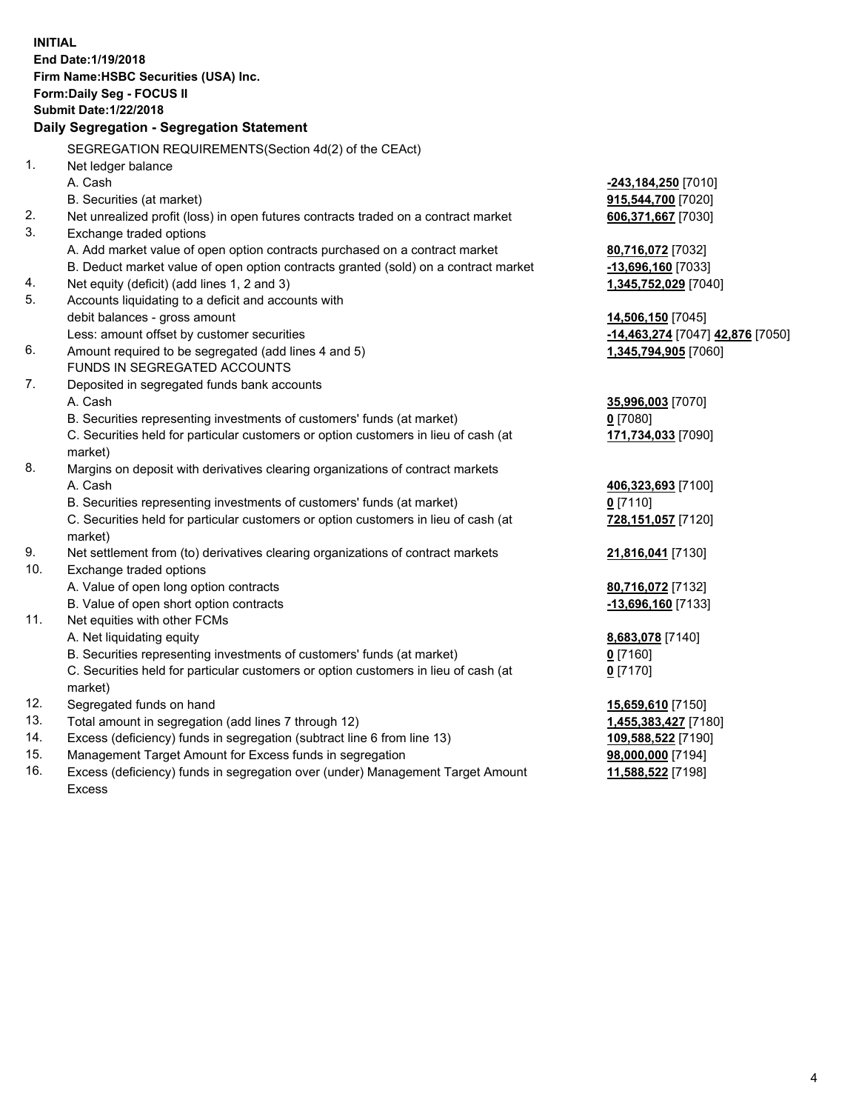**INITIAL End Date:1/19/2018 Firm Name:HSBC Securities (USA) Inc. Form:Daily Seg - FOCUS II Submit Date:1/22/2018 Daily Segregation - Segregation Statement** SEGREGATION REQUIREMENTS(Section 4d(2) of the CEAct) 1. Net ledger balance A. Cash **-243,184,250** [7010] B. Securities (at market) **915,544,700** [7020] 2. Net unrealized profit (loss) in open futures contracts traded on a contract market **606,371,667** [7030] 3. Exchange traded options A. Add market value of open option contracts purchased on a contract market **80,716,072** [7032] B. Deduct market value of open option contracts granted (sold) on a contract market **-13,696,160** [7033] 4. Net equity (deficit) (add lines 1, 2 and 3) **1,345,752,029** [7040] 5. Accounts liquidating to a deficit and accounts with debit balances - gross amount **14,506,150** [7045] Less: amount offset by customer securities **-14,463,274** [7047] **42,876** [7050] 6. Amount required to be segregated (add lines 4 and 5) **1,345,794,905** [7060] FUNDS IN SEGREGATED ACCOUNTS 7. Deposited in segregated funds bank accounts A. Cash **35,996,003** [7070] B. Securities representing investments of customers' funds (at market) **0** [7080] C. Securities held for particular customers or option customers in lieu of cash (at market) **171,734,033** [7090] 8. Margins on deposit with derivatives clearing organizations of contract markets A. Cash **406,323,693** [7100] B. Securities representing investments of customers' funds (at market) **0** [7110] C. Securities held for particular customers or option customers in lieu of cash (at market) **728,151,057** [7120] 9. Net settlement from (to) derivatives clearing organizations of contract markets **21,816,041** [7130] 10. Exchange traded options A. Value of open long option contracts **80,716,072** [7132] B. Value of open short option contracts **-13,696,160** [7133] 11. Net equities with other FCMs A. Net liquidating equity **8,683,078** [7140] B. Securities representing investments of customers' funds (at market) **0** [7160] C. Securities held for particular customers or option customers in lieu of cash (at market) **0** [7170] 12. Segregated funds on hand **15,659,610** [7150] 13. Total amount in segregation (add lines 7 through 12) **1,455,383,427** [7180] 14. Excess (deficiency) funds in segregation (subtract line 6 from line 13) **109,588,522** [7190] 15. Management Target Amount for Excess funds in segregation **98,000,000** [7194]

16. Excess (deficiency) funds in segregation over (under) Management Target Amount Excess

**11,588,522** [7198]